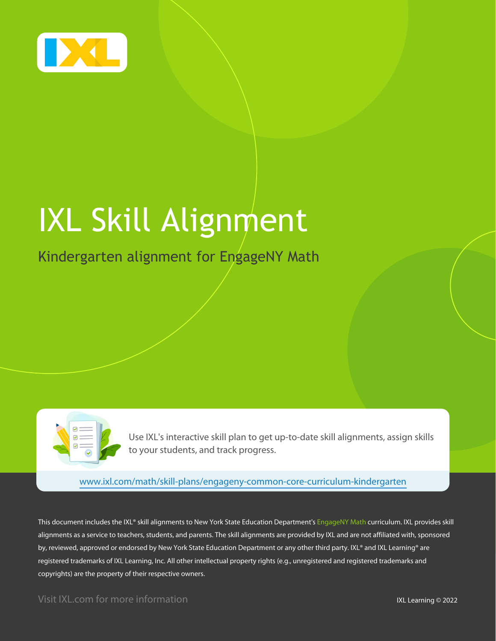

# IXL Skill Alignment

## Kindergarten alignment for EngageNY Math

Use IXL's interactive skill plan to get up-to-date skill alignments, assign skills to your students, and track progress.

[www.ixl.com/math/skill-plans/engageny-common-core-curriculum-kindergarten](https://www.ixl.com/math/skill-plans/engageny-common-core-curriculum-kindergarten)

This document includes the IXL® skill alignments to New York State Education Department's EngageNY Math curriculum. IXL provides skill alignments as a service to teachers, students, and parents. The skill alignments are provided by IXL and are not affiliated with, sponsored by, reviewed, approved or endorsed by New York State Education Department or any other third party. IXL® and IXL Learning® are registered trademarks of IXL Learning, Inc. All other intellectual property rights (e.g., unregistered and registered trademarks and copyrights) are the property of their respective owners.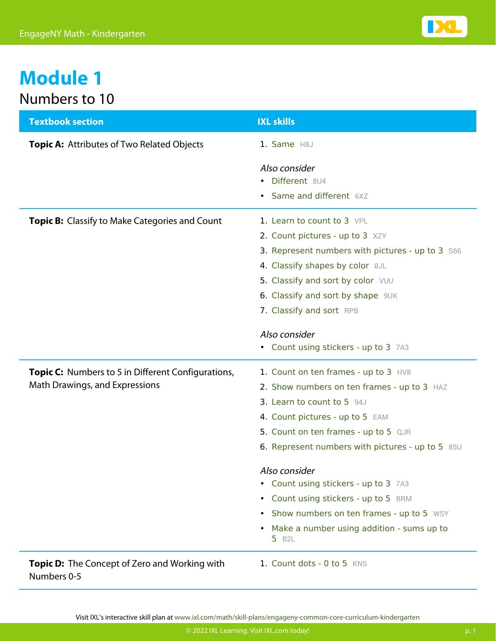

## **Module 1** Numbers to 10

| <b>Textbook section</b>                                                                     | <b>IXL skills</b>                                                                                                                                                                                                                                                                                                                                                                                                                                                             |
|---------------------------------------------------------------------------------------------|-------------------------------------------------------------------------------------------------------------------------------------------------------------------------------------------------------------------------------------------------------------------------------------------------------------------------------------------------------------------------------------------------------------------------------------------------------------------------------|
| <b>Topic A: Attributes of Two Related Objects</b>                                           | 1. Same H8J                                                                                                                                                                                                                                                                                                                                                                                                                                                                   |
|                                                                                             | Also consider<br>• Different 8U4<br><b>Same and different 6XZ</b>                                                                                                                                                                                                                                                                                                                                                                                                             |
| <b>Topic B:</b> Classify to Make Categories and Count                                       | 1. Learn to count to 3 VPL<br>2. Count pictures - up to 3 XZY<br>3. Represent numbers with pictures - up to 3 S66<br>4. Classify shapes by color 8JL<br>5. Classify and sort by color VUU<br>6. Classify and sort by shape 9UK<br>7. Classify and sort RPB                                                                                                                                                                                                                    |
|                                                                                             | Also consider<br>• Count using stickers - up to 3 7A3                                                                                                                                                                                                                                                                                                                                                                                                                         |
| <b>Topic C:</b> Numbers to 5 in Different Configurations,<br>Math Drawings, and Expressions | 1. Count on ten frames - up to 3 HV8<br>2. Show numbers on ten frames - up to 3 HAZ<br>3. Learn to count to 5 94J<br>4. Count pictures - up to 5 EAM<br>5. Count on ten frames - up to 5 QJR<br>6. Represent numbers with pictures - up to 5 85U<br>Also consider<br>• Count using stickers - up to 3 7A3<br>• Count using stickers - up to 5 BRM<br>Show numbers on ten frames - up to 5 WSY<br>$\bullet$<br>Make a number using addition - sums up to<br>5 B <sub>2</sub> L |
| <b>Topic D:</b> The Concept of Zero and Working with<br>Numbers 0-5                         | 1. Count dots - 0 to 5 KNS                                                                                                                                                                                                                                                                                                                                                                                                                                                    |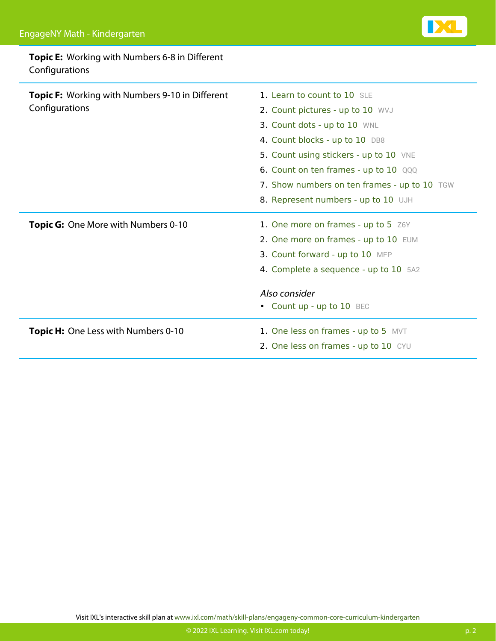#### **Topic E:** Working with Numbers 6-8 in Different Configurations

| <b>Topic F:</b> Working with Numbers 9-10 in Different<br>Configurations | 1. Learn to count to 10 SLE<br>2. Count pictures - up to 10 WVJ<br>3. Count dots - up to 10 WNL<br>4. Count blocks - up to 10 DB8<br>5. Count using stickers - up to 10 VNE<br>6. Count on ten frames - up to 10 QQQ<br>7. Show numbers on ten frames - up to 10 TGW<br>8. Represent numbers - up to 10 UJH |
|--------------------------------------------------------------------------|-------------------------------------------------------------------------------------------------------------------------------------------------------------------------------------------------------------------------------------------------------------------------------------------------------------|
| <b>Topic G:</b> One More with Numbers 0-10                               | 1. One more on frames - up to 5 Z6Y<br>2. One more on frames - up to 10 EUM<br>3. Count forward - up to 10 MFP<br>4. Complete a sequence - up to 10 5A2<br>Also consider<br>• Count up - up to 10 BEC                                                                                                       |
| <b>Topic H:</b> One Less with Numbers 0-10                               | 1. One less on frames - up to 5 MVT<br>2. One less on frames - up to 10 CYU                                                                                                                                                                                                                                 |

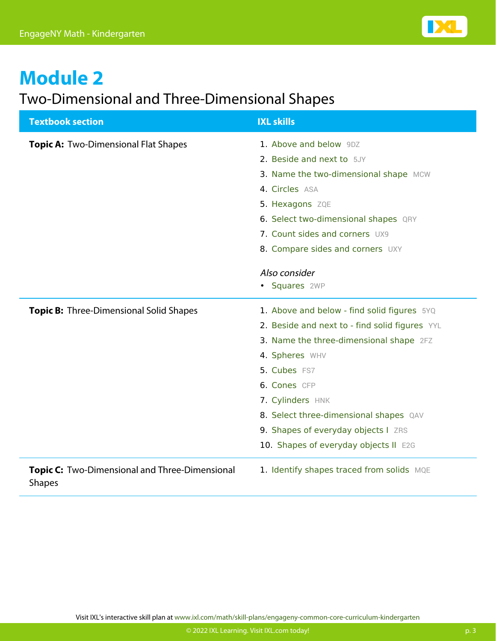

## Two-Dimensional and Three-Dimensional Shapes

| <b>Textbook section</b>                                         | <b>IXL skills</b>                              |
|-----------------------------------------------------------------|------------------------------------------------|
| Topic A: Two-Dimensional Flat Shapes                            | 1. Above and below 9DZ                         |
|                                                                 | 2. Beside and next to 5JY                      |
|                                                                 | 3. Name the two-dimensional shape MCW          |
|                                                                 | 4. Circles ASA                                 |
|                                                                 | 5. Hexagons ZQE                                |
|                                                                 | 6. Select two-dimensional shapes QRY           |
|                                                                 | 7. Count sides and corners UX9                 |
|                                                                 | 8. Compare sides and corners UXY               |
|                                                                 | Also consider                                  |
|                                                                 | • Squares 2WP                                  |
|                                                                 |                                                |
| <b>Topic B:</b> Three-Dimensional Solid Shapes                  | 1. Above and below - find solid figures 5YQ    |
|                                                                 | 2. Beside and next to - find solid figures YYL |
|                                                                 | 3. Name the three-dimensional shape 2FZ        |
|                                                                 | 4. Spheres WHV                                 |
|                                                                 | 5. Cubes FS7                                   |
|                                                                 | 6. Cones CFP                                   |
|                                                                 | 7. Cylinders HNK                               |
|                                                                 | 8. Select three-dimensional shapes QAV         |
|                                                                 | 9. Shapes of everyday objects I ZRS            |
|                                                                 | 10. Shapes of everyday objects II E2G          |
| Topic C: Two-Dimensional and Three-Dimensional<br><b>Shapes</b> | 1. Identify shapes traced from solids MQE      |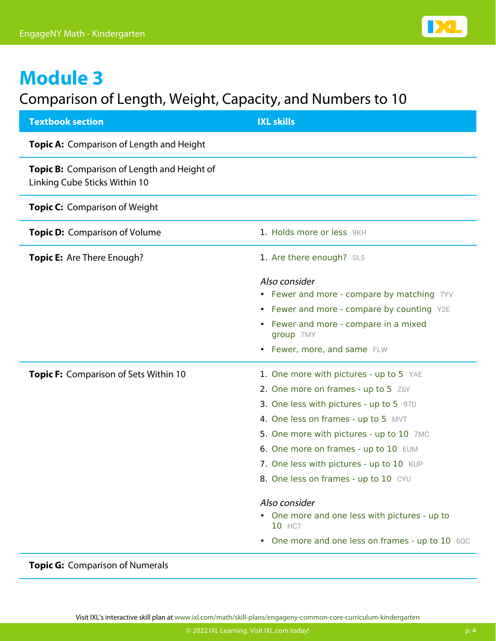

## Comparison of Length, Weight, Capacity, and Numbers to 10

| <b>Textbook section</b>                                                      | <b>IXL skills</b>                                                                                                                                                                                                                                                                                                                                                                                                                                                      |
|------------------------------------------------------------------------------|------------------------------------------------------------------------------------------------------------------------------------------------------------------------------------------------------------------------------------------------------------------------------------------------------------------------------------------------------------------------------------------------------------------------------------------------------------------------|
| Topic A: Comparison of Length and Height                                     |                                                                                                                                                                                                                                                                                                                                                                                                                                                                        |
| Topic B: Comparison of Length and Height of<br>Linking Cube Sticks Within 10 |                                                                                                                                                                                                                                                                                                                                                                                                                                                                        |
| <b>Topic C: Comparison of Weight</b>                                         |                                                                                                                                                                                                                                                                                                                                                                                                                                                                        |
| <b>Topic D:</b> Comparison of Volume                                         | 1. Holds more or less 9KH                                                                                                                                                                                                                                                                                                                                                                                                                                              |
| <b>Topic E:</b> Are There Enough?                                            | 1. Are there enough? SL5                                                                                                                                                                                                                                                                                                                                                                                                                                               |
|                                                                              | Also consider<br>• Fewer and more - compare by matching 7YV<br>• Fewer and more - compare by counting Y2E<br>• Fewer and more - compare in a mixed<br>group 7MY<br>• Fewer, more, and same FLW                                                                                                                                                                                                                                                                         |
| Topic F: Comparison of Sets Within 10                                        | 1. One more with pictures - up to 5 YAE<br>2. One more on frames - up to 5 Z6Y<br>3. One less with pictures - up to 5 97D<br>4. One less on frames - up to 5 MVT<br>5. One more with pictures - up to 10 7MC<br>6. One more on frames - up to 10 EUM<br>7. One less with pictures - up to 10 KUP<br>8. One less on frames - up to 10 CYU<br>Also consider<br>• One more and one less with pictures - up to<br>10 HC7<br>One more and one less on frames - up to 10 6QC |

**Topic G:** Comparison of Numerals

Visit IXL's interactive skill plan at [www.ixl.com/math/skill-plans/engageny-common-core-curriculum-kindergarten](https://www.ixl.com/math/skill-plans/engageny-common-core-curriculum-kindergarten)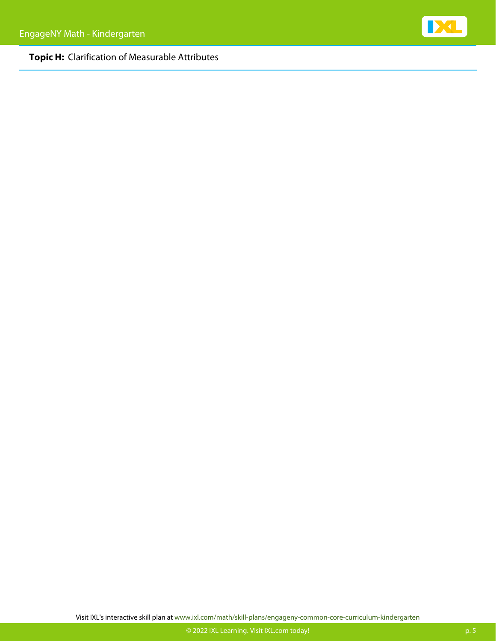#### **Topic H:** Clarification of Measurable Attributes



Visit IXL's interactive skill plan at [www.ixl.com/math/skill-plans/engageny-common-core-curriculum-kindergarten](https://www.ixl.com/math/skill-plans/engageny-common-core-curriculum-kindergarten)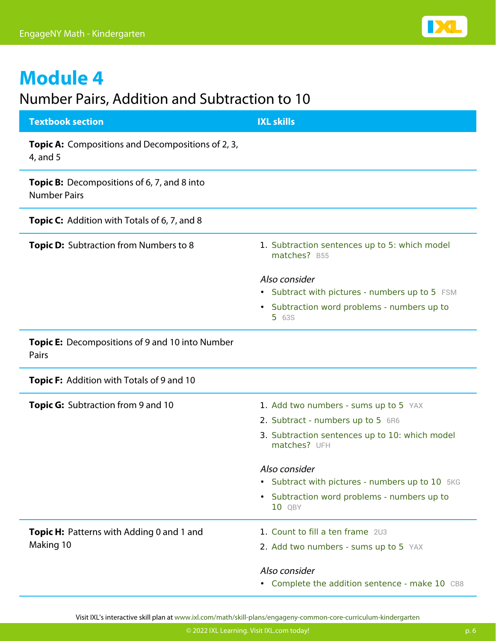### Number Pairs, Addition and Subtraction to 10

| <b>Textbook section</b>                                                   | <b>IXL skills</b>                                              |
|---------------------------------------------------------------------------|----------------------------------------------------------------|
| <b>Topic A:</b> Compositions and Decompositions of 2, 3,<br>4, and 5      |                                                                |
| <b>Topic B:</b> Decompositions of 6, 7, and 8 into<br><b>Number Pairs</b> |                                                                |
| <b>Topic C:</b> Addition with Totals of 6, 7, and 8                       |                                                                |
| <b>Topic D:</b> Subtraction from Numbers to 8                             | 1. Subtraction sentences up to 5: which model<br>matches? B55  |
|                                                                           | Also consider                                                  |
|                                                                           | • Subtract with pictures - numbers up to 5 FSM                 |
|                                                                           | • Subtraction word problems - numbers up to<br><b>5</b> 63S    |
| Topic E: Decompositions of 9 and 10 into Number<br>Pairs                  |                                                                |
| <b>Topic F:</b> Addition with Totals of 9 and 10                          |                                                                |
| <b>Topic G:</b> Subtraction from 9 and 10                                 | 1. Add two numbers - sums up to 5 YAX                          |
|                                                                           | 2. Subtract - numbers up to 5 6R6                              |
|                                                                           | 3. Subtraction sentences up to 10: which model<br>matches? UFH |
|                                                                           | Also consider                                                  |
|                                                                           | • Subtract with pictures - numbers up to 10 5KG                |
|                                                                           | • Subtraction word problems - numbers up to<br>10 QBY          |
| <b>Topic H:</b> Patterns with Adding 0 and 1 and                          | 1. Count to fill a ten frame 2U3                               |
| Making 10                                                                 | 2. Add two numbers - sums up to 5 YAX                          |
|                                                                           | Also consider                                                  |
|                                                                           | • Complete the addition sentence - make 10 CB8                 |

Visit IXL's interactive skill plan at [www.ixl.com/math/skill-plans/engageny-common-core-curriculum-kindergarten](https://www.ixl.com/math/skill-plans/engageny-common-core-curriculum-kindergarten)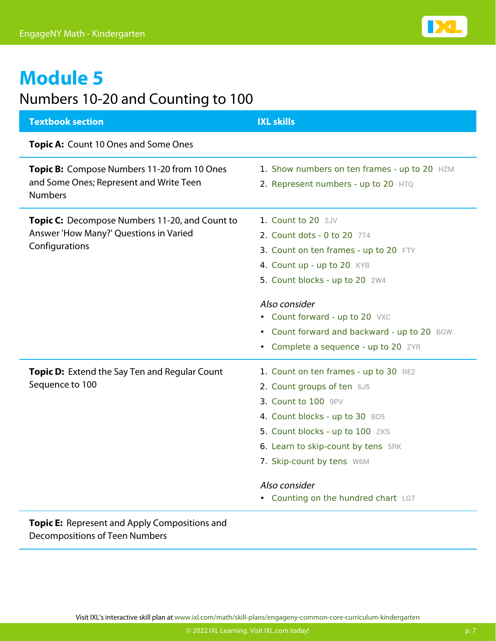

## Numbers 10-20 and Counting to 100

| <b>Textbook section</b>                                                                                  | <b>IXL skills</b>                                                                   |
|----------------------------------------------------------------------------------------------------------|-------------------------------------------------------------------------------------|
| Topic A: Count 10 Ones and Some Ones                                                                     |                                                                                     |
| Topic B: Compose Numbers 11-20 from 10 Ones<br>and Some Ones; Represent and Write Teen<br><b>Numbers</b> | 1. Show numbers on ten frames - up to 20 HZM<br>2. Represent numbers - up to 20 HTQ |
|                                                                                                          |                                                                                     |
| Topic C: Decompose Numbers 11-20, and Count to                                                           | 1. Count to 20 2JV                                                                  |
| Answer 'How Many?' Questions in Varied                                                                   | 2. Count dots - 0 to 20 7T4                                                         |
| Configurations                                                                                           | 3. Count on ten frames - up to 20 FTY                                               |
|                                                                                                          | 4. Count up - up to 20 KYB                                                          |
|                                                                                                          | 5. Count blocks - up to 20 2W4                                                      |
|                                                                                                          | Also consider                                                                       |
|                                                                                                          | • Count forward - up to 20 VXC                                                      |
|                                                                                                          | • Count forward and backward - up to 20 BGW                                         |
|                                                                                                          | • Complete a sequence - up to 20 ZYR                                                |
| Topic D: Extend the Say Ten and Regular Count                                                            | 1. Count on ten frames - up to 30 RE2                                               |
| Sequence to 100                                                                                          | 2. Count groups of ten 6J5                                                          |
|                                                                                                          | 3. Count to 100 9PV                                                                 |
|                                                                                                          | 4. Count blocks - up to 30 BD5                                                      |
|                                                                                                          | 5. Count blocks - up to 100 ZKS                                                     |
|                                                                                                          | 6. Learn to skip-count by tens 5RK                                                  |
|                                                                                                          | 7. Skip-count by tens W6M                                                           |
|                                                                                                          | Also consider                                                                       |
|                                                                                                          | • Counting on the hundred chart LGT                                                 |
| Topic E: Represent and Apply Compositions and                                                            |                                                                                     |

Decompositions of Teen Numbers